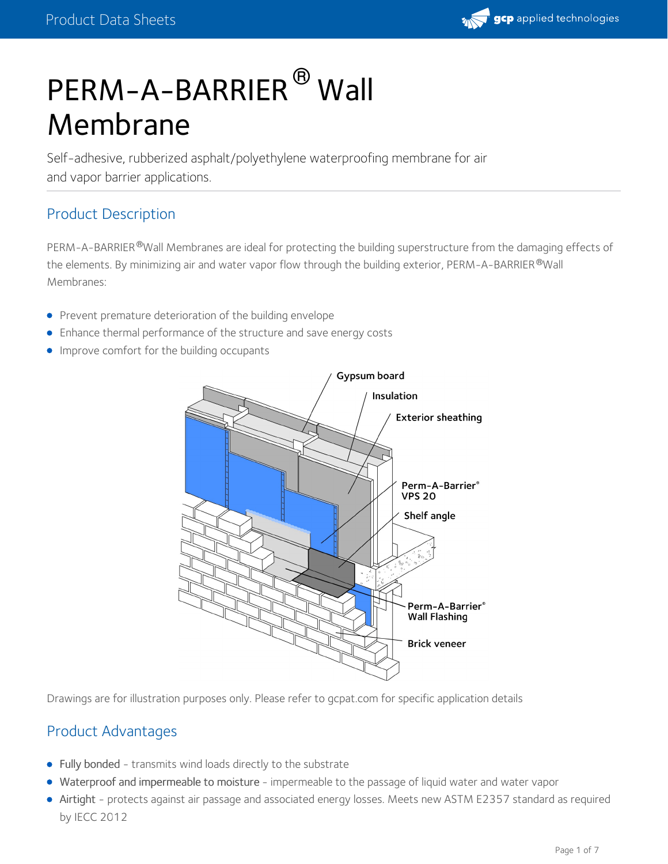# PERM-A-BARRIER<sup>®</sup> Wall Membrane

Self-adhesive, rubberized asphalt/polyethylene waterproofing membrane for air and vapor barrier applications.

#### Product Description

PERM-A-BARRIER®Wall Membranes are ideal for protecting the building superstructure from the damaging effects of the elements. By minimizing air and water vapor flow through the building exterior, <code>PERM-A-BARRIER</code>  $^\circ$  Wall Membranes:

- Prevent premature deterioration of the building envelope
- Enhance thermal performance of the structure and save energy costs
- **Improve comfort for the building occupants**



Drawings are for illustration purposes only. Please refer to gcpat.com for specific application details

#### Product Advantages

- Fully bonded transmits wind loads directly to the substrate
- Waterproof and impermeable to moisture impermeable to the passage of liquid water and water vapor
- Airtight protects against air passage and associated energy losses. Meets new ASTM E2357 standard as required by IECC 2012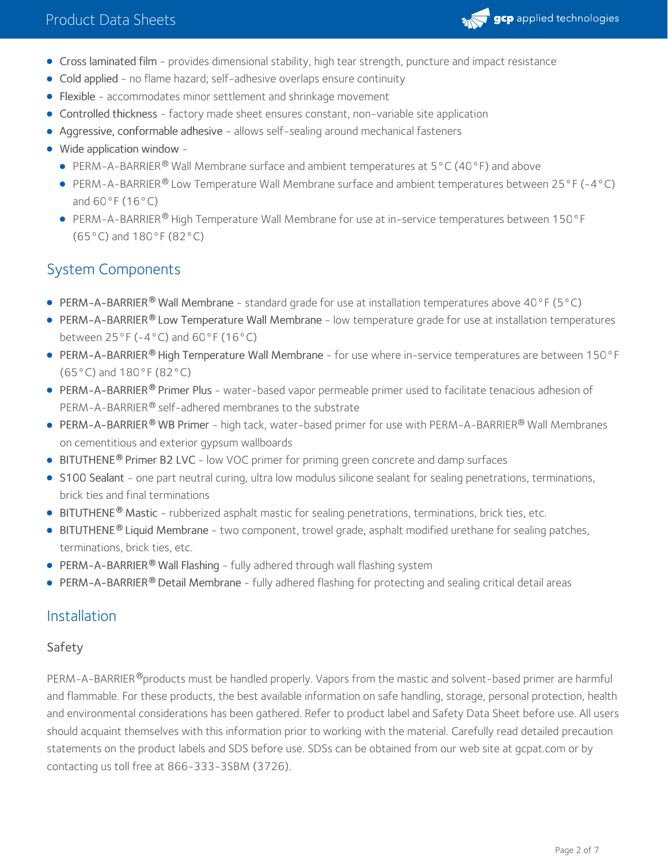

- Cross laminated film provides dimensional stability, high tear strength, puncture and impact resistance
- Cold applied no flame hazard; self-adhesive overlaps ensure continuity
- Flexible accommodates minor settlement and shrinkage movement
- Controlled thickness factory made sheet ensures constant, non-variable site application
- Aggressive, conformable adhesive allows self-sealing around mechanical fasteners
- Wide application window
	- PERM-A-BARRIER<sup>®</sup> Wall Membrane surface and ambient temperatures at  $5^{\circ}$ C (40°F) and above
	- PERM-A-BARRIER® Low Temperature Wall Membrane surface and ambient temperatures between 25°F (-4°C) and 60°F (16°C)
	- PERM-A-BARRIER® High Temperature Wall Membrane for use at in-service temperatures between 150°F (65°C) and 180°F (82°C)

### System Components

- PERM-A-BARRIER<sup>®</sup> Wall Membrane standard grade for use at installation temperatures above 40°F (5°C)
- PERM-A-BARRIER® Low Temperature Wall Membrane low temperature grade for use at installation temperatures between  $25^{\circ}$ F (-4°C) and  $60^{\circ}$ F (16°C)
- PERM-A-BARRIER® High Temperature Wall Membrane for use where in-service temperatures are between 150°F (65°C) and 180°F (82°C)
- PERM-A-BARRIER® Primer Plus water-based vapor permeable primer used to facilitate tenacious adhesion of PERM-A-BARRIER® self-adhered membranes to the substrate
- PERM-A-BARRIER® WB Primer high tack, water-based primer for use with PERM-A-BARRIER® Wall Membranes on cementitious and exterior gypsum wallboards
- **BITUTHENE<sup>®</sup> Primer B2 LVC** low VOC primer for priming green concrete and damp surfaces
- S100 Sealant one part neutral curing, ultra low modulus silicone sealant for sealing penetrations, terminations, brick ties and final terminations
- **BITUTHENE<sup>®</sup> Mastic** rubberized asphalt mastic for sealing penetrations, terminations, brick ties, etc.
- BITUTHENE® Liquid Membrane two component, trowel grade, asphalt modified urethane for sealing patches, terminations, brick ties, etc.
- PERM-A-BARRIER **®** Wall Flashing fully adhered through wall flashing system
- **PERM-A-BARRIER® Detail Membrane** fully adhered flashing for protecting and sealing critical detail areas

#### Installation

#### Safety

PERM-A-BARRIER®products must be handled properly. Vapors from the mastic and solvent-based primer are harmful and flammable. For these products, the best available information on safe handling, storage, personal protection, health and environmental considerations has been gathered. Refer to product label and Safety Data Sheet before use. All users should acquaint themselves with this information prior to working with the material. Carefully read detailed precaution statements on the product labels and SDS before use. SDSs can be obtained from our web site at gcpat.com or by contacting us toll free at 866-333-3SBM (3726).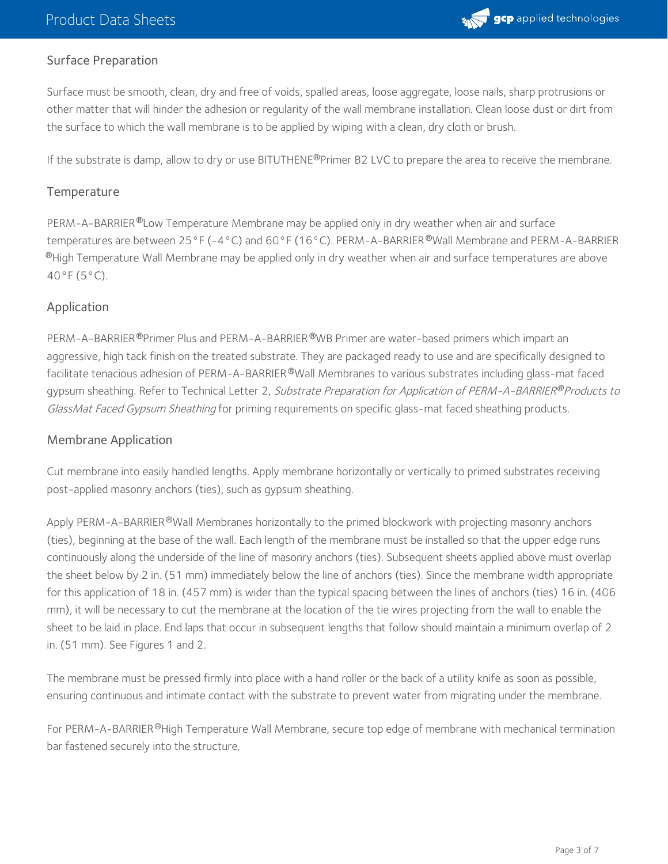

#### Surface Preparation

Surface must be smooth, clean, dry and free of voids, spalled areas, loose aggregate, loose nails, sharp protrusions or other matter that will hinder the adhesion or regularity of the wall membrane installation. Clean loose dust or dirt from the surface to which the wall membrane is to be applied by wiping with a clean, dry cloth or brush.

If the substrate is damp, allow to dry or use BITUTHENE®Primer B2 LVC to prepare the area to receive the membrane.

#### **Temperature**

PERM-A-BARRIER®Low Temperature Membrane may be applied only in dry weather when air and surface temperatures are between 25°F (-4°C) and 60°F (16°C). PERM-A-BARRIER ®Wall Membrane and PERM-A-BARRIER  $^\circledR$ High Temperature Wall Membrane may be applied only in dry weather when air and surface temperatures are above 40°F (5°C).

#### Application

PERM-A-BARRIER®Primer Plus and PERM-A-BARRIER®WB Primer are water-based primers which impart an aggressive, high tack finish on the treated substrate. They are packaged ready to use and are specifically designed to facilitate tenacious adhesion of PERM-A-BARRIER®Wall Membranes to various substrates including glass-mat faced gypsum sheathing. Refer to Technical Letter 2*, Substrate Preparation for Application of PERM-A-BARRIER®Products to* GlassMat Faced Gypsum Sheathing for priming requirements on specific glass-mat faced sheathing products.

#### Membrane Application

Cut membrane into easily handled lengths. Apply membrane horizontally or vertically to primed substrates receiving post-applied masonry anchors (ties), such as gypsum sheathing.

Apply PERM-A-BARRIER®Wall Membranes horizontally to the primed blockwork with projecting masonry anchors (ties), beginning at the base of the wall. Each length of the membrane must be installed so that the upper edge runs continuously along the underside of the line of masonry anchors (ties). Subsequent sheets applied above must overlap the sheet below by 2 in. (51 mm) immediately below the line of anchors (ties). Since the membrane width appropriate for this application of 18 in. (457 mm) is wider than the typical spacing between the lines of anchors (ties) 16 in. (406 mm), it will be necessary to cut the membrane at the location of the tie wires projecting from the wall to enable the sheet to be laid in place. End laps that occur in subsequent lengths that follow should maintain a minimum overlap of 2 in. (51 mm). See Figures 1 and 2.

The membrane must be pressed firmly into place with a hand roller or the back of a utility knife as soon as possible, ensuring continuous and intimate contact with the substrate to prevent water from migrating under the membrane.

For PERM-A-BARRIER®High Temperature Wall Membrane, secure top edge of membrane with mechanical termination bar fastened securely into the structure.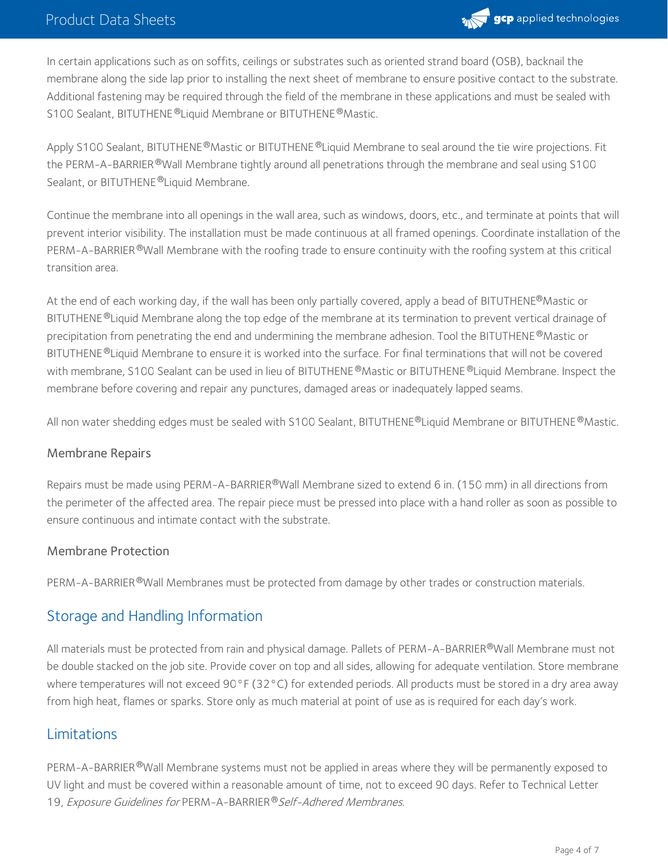

In certain applications such as on soffits, ceilings or substrates such as oriented strand board (OSB), backnail the membrane along the side lap prior to installing the next sheet of membrane to ensure positive contact to the substrate. Additional fastening may be required through the field of the membrane in these applications and must be sealed with S100 Sealant, BITUTHENE®Liquid Membrane or BITUTHENE®Mastic.

Apply S100 Sealant, BITUTHENE®Mastic or BITUTHENE®Liquid Membrane to seal around the tie wire projections. Fit the PERM-A-BARRIER®Wall Membrane tightly around all penetrations through the membrane and seal using S100 Sealant, or BITUTHENE ®Liquid Membrane.

Continue the membrane into all openings in the wall area, such as windows, doors, etc., and terminate at points that will prevent interior visibility. The installation must be made continuous at all framed openings. Coordinate installation of the PERM-A-BARRIER®Wall Membrane with the roofing trade to ensure continuity with the roofing system at this critical transition area.

At the end of each working day, if the wall has been only partially covered, apply a bead of BITUTHENE®Mastic or BITUTHENE®Liquid Membrane along the top edge of the membrane at its termination to prevent vertical drainage of precipitation from penetrating the end and undermining the membrane adhesion. Tool the BITUTHENE®Mastic or BITUTHENE ®Liquid Membrane to ensure it is worked into the surface. For final terminations that will not be covered with membrane, S100 Sealant can be used in lieu of BITUTHENE®Mastic or BITUTHENE®Liquid Membrane. Inspect the membrane before covering and repair any punctures, damaged areas or inadequately lapped seams.

All non water shedding edges must be sealed with S100 Sealant, BITUTHENE®Liquid Membrane or BITUTHENE®Mastic.

#### Membrane Repairs

Repairs must be made using PERM-A-BARRIER®Wall Membrane sized to extend 6 in. (150 mm) in all directions from the perimeter of the affected area. The repair piece must be pressed into place with a hand roller as soon as possible to ensure continuous and intimate contact with the substrate.

#### Membrane Protection

PERM-A-BARRIER®Wall Membranes must be protected from damage by other trades or construction materials.

#### Storage and Handling Information

All materials must be protected from rain and physical damage. Pallets of PERM-A-BARRIER®Wall Membrane must not be double stacked on the job site. Provide cover on top and all sides, allowing for adequate ventilation. Store membrane where temperatures will not exceed 90°F (32°C) for extended periods. All products must be stored in a dry area away from high heat, flames or sparks. Store only as much material at point of use as is required for each day's work.

#### Limitations

PERM-A-BARRIER®Wall Membrane systems must not be applied in areas where they will be permanently exposed to UV light and must be covered within a reasonable amount of time, not to exceed 90 days. Refer to Technical Letter 19, Exposure Guidelines for PERM-A-BARRIER®Self-Adhered Membranes.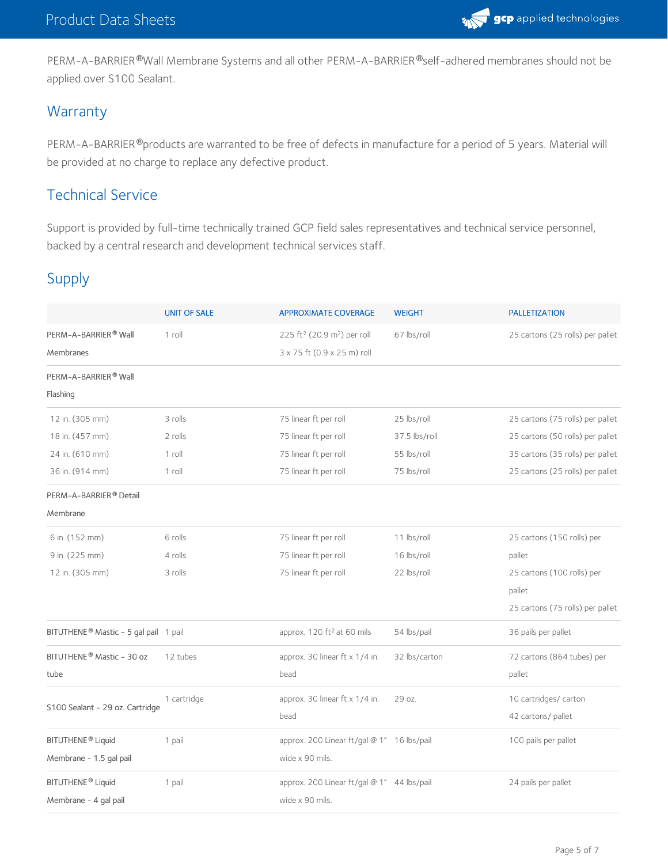

PERM-A-BARRIER®Wall Membrane Systems and all other PERM-A-BARRIER®self-adhered membranes should not be applied over S100 Sealant.

#### **Warranty**

PERM-A-BARRIER®products are warranted to be free of defects in manufacture for a period of 5 years. Material will be provided at no charge to replace any defective product.

#### Technical Service

Support is provided by full-time technically trained GCP field sales representatives and technical service personnel, backed by a central research and development technical services staff.

#### Supply

|                                                   | <b>UNIT OF SALE</b> | <b>APPROXIMATE COVERAGE</b>                         | <b>WEIGHT</b> | <b>PALLETIZATION</b>             |
|---------------------------------------------------|---------------------|-----------------------------------------------------|---------------|----------------------------------|
| PERM-A-BARRIER® Wall                              | 1 roll              | 225 ft <sup>2</sup> (20.9 m <sup>2</sup> ) per roll | 67 lbs/roll   | 25 cartons (25 rolls) per pallet |
| Membranes                                         |                     |                                                     |               |                                  |
|                                                   |                     | 3 x 75 ft (0.9 x 25 m) roll                         |               |                                  |
| PERM-A-BARRIER® Wall                              |                     |                                                     |               |                                  |
| Flashing                                          |                     |                                                     |               |                                  |
| 12 in. (305 mm)                                   | 3 rolls             | 75 linear ft per roll                               | 25 lbs/roll   | 25 cartons (75 rolls) per pallet |
| 18 in. (457 mm)                                   | 2 rolls             | 75 linear ft per roll                               | 37.5 lbs/roll | 25 cartons (50 rolls) per pallet |
| 24 in. (610 mm)                                   | 1 roll              | 75 linear ft per roll                               | 55 lbs/roll   | 35 cartons (35 rolls) per pallet |
| 36 in. (914 mm)                                   | 1 roll              | 75 linear ft per roll                               | 75 lbs/roll   | 25 cartons (25 rolls) per pallet |
| PERM-A-BARRIER® Detail                            |                     |                                                     |               |                                  |
| Membrane                                          |                     |                                                     |               |                                  |
| 6 in. (152 mm)                                    | 6 rolls             | 75 linear ft per roll                               | 11 lbs/roll   | 25 cartons (150 rolls) per       |
| 9 in. (225 mm)                                    | 4 rolls             | 75 linear ft per roll                               | 16 lbs/roll   | pallet                           |
| 12 in. (305 mm)                                   | 3 rolls             | 75 linear ft per roll                               | 22 lbs/roll   | 25 cartons (100 rolls) per       |
|                                                   |                     |                                                     |               | pallet                           |
|                                                   |                     |                                                     |               | 25 cartons (75 rolls) per pallet |
| BITUTHENE <sup>®</sup> Mastic - 5 gal pail 1 pail |                     | approx. 120 ft <sup>2</sup> at 60 mils              | 54 lbs/pail   | 36 pails per pallet              |
| BITUTHENE® Mastic - 30 oz                         | 12 tubes            | approx. 30 linear ft x 1/4 in.                      | 32 lbs/carton | 72 cartons (864 tubes) per       |
| tube                                              |                     | bead                                                |               | pallet                           |
| S100 Sealant - 29 oz. Cartridge                   | 1 cartridge         | approx. 30 linear ft x 1/4 in.                      | 29 oz.        | 10 cartridges/ carton            |
|                                                   |                     | bead                                                |               | 42 cartons/ pallet               |
| BITUTHENE <sup>®</sup> Liquid                     | 1 pail              | approx. 200 Linear ft/gal @ 1" 16 lbs/pail          |               | 100 pails per pallet             |
| Membrane - 1.5 gal pail                           |                     | wide x 90 mils.                                     |               |                                  |
| BITUTHENE <sup>®</sup> Liquid                     | 1 pail              | approx. 200 Linear ft/gal @ 1" 44 lbs/pail          |               | 24 pails per pallet              |
| Membrane - 4 gal pail                             |                     | wide x 90 mils.                                     |               |                                  |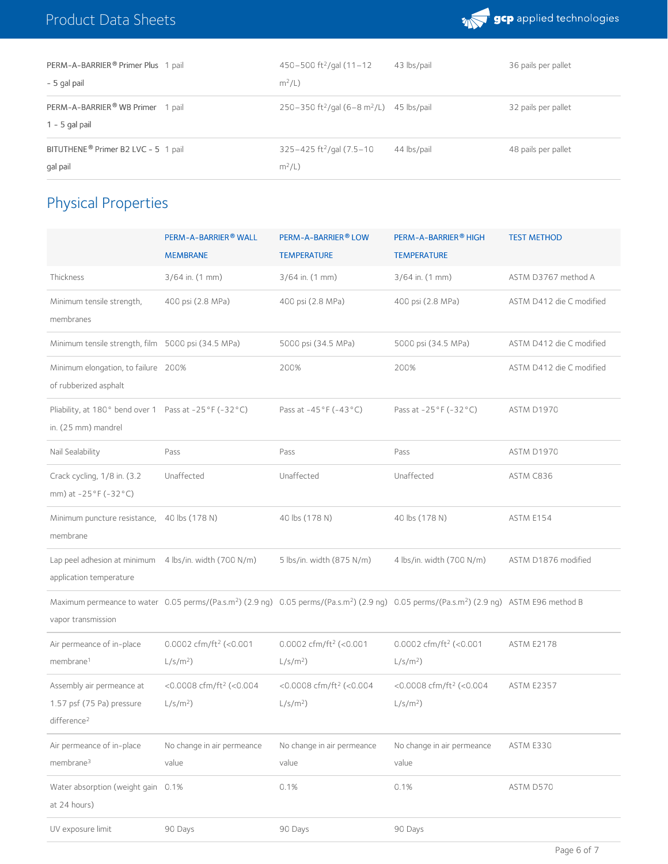

| PERM-A-BARRIER® Primer Plus 1 pail              | $450 - 500$ ft <sup>2</sup> /gal (11-12                          | 43 lbs/pail | 36 pails per pallet |
|-------------------------------------------------|------------------------------------------------------------------|-------------|---------------------|
| - 5 gal pail                                    | $m^2/L$ )                                                        |             |                     |
| PERM-A-BARRIER® WB Primer 1 pail                | 250-350 ft <sup>2</sup> /gal (6-8 m <sup>2</sup> /L) 45 lbs/pail |             | 32 pails per pallet |
| $1 - 5$ gal pail                                |                                                                  |             |                     |
| BITUTHENE <sup>®</sup> Primer B2 LVC - 5 1 pail | $325 - 425$ ft <sup>2</sup> /gal (7.5-10)                        | 44 lbs/pail | 48 pails per pallet |
| gal pail                                        | $m^2/L$                                                          |             |                     |

## Physical Properties

|                                                                                   | PERM-A-BARRIER® WALL<br><b>MEMBRANE</b>           | PERM-A-BARRIER® LOW<br><b>TEMPERATURE</b>         | PERM-A-BARRIER® HIGH<br><b>TEMPERATURE</b>                                                                                                                                    | <b>TEST METHOD</b>       |
|-----------------------------------------------------------------------------------|---------------------------------------------------|---------------------------------------------------|-------------------------------------------------------------------------------------------------------------------------------------------------------------------------------|--------------------------|
| Thickness                                                                         | 3/64 in. (1 mm)                                   | 3/64 in. (1 mm)                                   | 3/64 in. (1 mm)                                                                                                                                                               | ASTM D3767 method A      |
| Minimum tensile strength,<br>membranes                                            | 400 psi (2.8 MPa)                                 | 400 psi (2.8 MPa)                                 | 400 psi (2.8 MPa)                                                                                                                                                             | ASTM D412 die C modified |
| Minimum tensile strength, film 5000 psi (34.5 MPa)                                |                                                   | 5000 psi (34.5 MPa)                               | 5000 psi (34.5 MPa)                                                                                                                                                           | ASTM D412 die C modified |
| Minimum elongation, to failure 200%<br>of rubberized asphalt                      |                                                   | 200%                                              | 200%                                                                                                                                                                          | ASTM D412 die C modified |
| Pliability, at 180° bend over 1 Pass at -25°F (-32°C)<br>in. (25 mm) mandrel      |                                                   | Pass at -45°F (-43°C)                             | Pass at -25°F (-32°C)                                                                                                                                                         | ASTM D1970               |
| Nail Sealability                                                                  | Pass                                              | Pass                                              | Pass                                                                                                                                                                          | ASTM D1970               |
| Crack cycling, 1/8 in. (3.2<br>mm) at -25°F (-32°C)                               | Unaffected                                        | Unaffected                                        | Unaffected                                                                                                                                                                    | ASTM C836                |
| Minimum puncture resistance, 40 lbs (178 N)<br>membrane                           |                                                   | 40 lbs (178 N)                                    | 40 lbs (178 N)                                                                                                                                                                | ASTM E154                |
| Lap peel adhesion at minimum 4 lbs/in. width (700 N/m)<br>application temperature |                                                   | 5 lbs/in. width (875 N/m)                         | 4 lbs/in. width (700 N/m)                                                                                                                                                     | ASTM D1876 modified      |
| vapor transmission                                                                |                                                   |                                                   | Maximum permeance to water 0.05 perms/(Pa.s.m <sup>2</sup> ) (2.9 ng) 0.05 perms/(Pa.s.m <sup>2</sup> ) (2.9 ng) 0.05 perms/(Pa.s.m <sup>2</sup> ) (2.9 ng) ASTM E96 method B |                          |
| Air permeance of in-place<br>membrane <sup>1</sup>                                | 0.0002 cfm/ft <sup>2</sup> (<0.001<br>$L/s/m2$ )  | 0.0002 cfm/ft <sup>2</sup> (<0.001<br>$L/s/m2$ )  | 0.0002 cfm/ft <sup>2</sup> (<0.001<br>$L/s/m2$ )                                                                                                                              | ASTM E2178               |
| Assembly air permeance at<br>1.57 psf (75 Pa) pressure<br>difference <sup>2</sup> | <0.0008 cfm/ft <sup>2</sup> (<0.004<br>$L/s/m2$ ) | <0.0008 cfm/ft <sup>2</sup> (<0.004<br>$L/s/m2$ ) | <0.0008 cfm/ft <sup>2</sup> (<0.004<br>$L/s/m2$ )                                                                                                                             | <b>ASTM E2357</b>        |
| Air permeance of in-place<br>membrane <sup>3</sup>                                | No change in air permeance<br>value               | No change in air permeance<br>value               | No change in air permeance<br>value                                                                                                                                           | ASTM E330                |
| Water absorption (weight gain 0.1%<br>at 24 hours)                                |                                                   | 0.1%                                              | 0.1%                                                                                                                                                                          | ASTM D570                |
| UV exposure limit                                                                 | 90 Days                                           | 90 Days                                           | 90 Days                                                                                                                                                                       |                          |